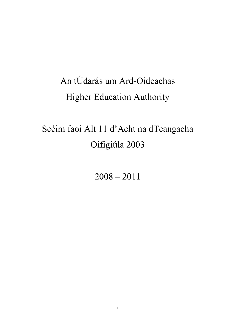# An tÚdarás um Ard-Oideachas Higher Education Authority

# Scéim faoi Alt 11 d'Acht na dTeangacha Oifigiúla 2003

2008 – 2011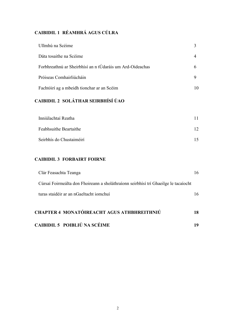## CAIBIDIL 1 RÉAMHRÁ AGUS CÚLRA

| Ullmhú na Scéime                                          |   |
|-----------------------------------------------------------|---|
| Dáta tosaithe na Scéime                                   |   |
| Forbhreathnú ar Sheirbhísí an n tÚdaráis um Ard-Oideachas | h |
| Próiseas Comhairliúcháin                                  |   |
| Fachtóirí ag a mbeidh tionchar ar an Scéim                |   |

# CAIBIDIL 2 SOLÁTHAR SEIRBHÍSÍ ÚAO

| Inniúlachtaí Reatha      |  |
|--------------------------|--|
| Feabhsuithe Beartaithe   |  |
| Seirbhís do Chustaiméirí |  |

## CAIBIDIL 3 FORBAIRT FOIRNE

| <b>CHAPTER 4 MONATÓIREACHT AGUS ATHBHREITHNIÚ</b>                                   |  |
|-------------------------------------------------------------------------------------|--|
| turas staidéir ar an nGaeltacht iomchuí                                             |  |
| Cúrsaí Foirmeálta don Fhoireann a sholáthraíonn seirbhísí trí Ghaeilge le tacaíocht |  |
| Clár Feasachta Teanga                                                               |  |

## CAIBIDIL 5 POIBLIÚ NA SCÉIME 19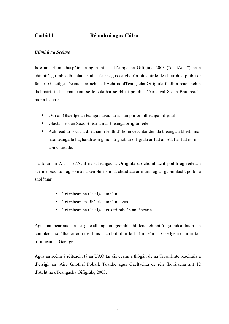# Caibidil 1 Réamhrá agus Cúlra

#### Ullmhú na Scéime

Is é an príomhchuspóir atá ag Acht na dTeangacha Oifigiúla 2003 ("an tAcht") ná a chinntiú go mbeadh soláthar níos fearr agus caighdeán níos airde de sheirbhísí poiblí ar fáil trí Ghaeilge. Déantar iarracht le hAcht na dTeangacha Oifigiúla feidhm reachtach a thabhairt, fad a bhaineann sé le soláthar seirbhísí poiblí, d'Airteagal 8 den Bhunreacht mar a leanas:

- Ós í an Ghaeilge an teanga náisiúnta is í an phríomhtheanga oifigiúil í
- Glactar leis an Sacs-Bhéarla mar theanga oifigiúil eile
- Ach féadfar socrú a dhéanamh le dlí d'fhonn ceachtar den dá theanga a bheith ina haonteanga le haghaidh aon ghnó nó gnóthaí oifigiúla ar fud an Stáit ar fad nó in aon chuid de.

Tá foráil in Alt 11 d'Acht na dTeangacha Oifigiúla do chomhlacht poiblí ag réiteach scéime reachtúil ag sonrú na seirbhísí sin dá chuid atá ar intinn ag an gcomhlacht poiblí a sholáthar:

- Trí mheán na Gaeilge amháin
- Trí mheán an Bhéarla amháin, agus
- Trí mheán na Gaeilge agus trí mheán an Bhéarla

Agus na beartais atá le glacadh ag an gcomhlacht lena chinntiú go ndéanfaidh an comhlacht soláthar ar aon tseirbhís nach bhfuil ar fáil trí mheán na Gaeilge a chur ar fáil trí mheán na Gaeilge.

Agus an scéim á réiteach, tá an ÚAO tar éis ceann a thógáil de na Treoirlínte reachtúla a d'eisigh an tAire Gnóthaí Pobail, Tuaithe agus Gaeltachta de réir fhorálacha ailt 12 d'Acht na dTeangacha Oifigiúla, 2003.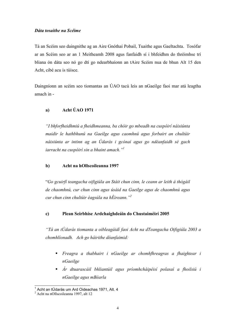#### Dáta tosaithe na Scéime

Tá an Scéim seo daingnithe ag an Aire Gnóthaí Pobail, Tuaithe agus Gaeltachta. Tosófar ar an Scéim seo ar an 1 Meitheamh 2008 agus fanfaidh sí i bhfeidhm do thréimhse trí bliana ón dáta seo nó go dtí go ndearbhaíonn an tAire Scéim nua de bhun Alt 15 den Acht, cibé acu is túisce.

Daingníonn an scéim seo tiomantas an ÚAO tacú leis an nGaeilge faoi mar atá leagtha amach in -

#### a) Acht ÚAO 1971

"I bhforfheidhmiú a fheidhmeanna, ba chóir go mbeadh na cuspóirí náisiúnta maidir le hathbhunú na Gaeilge agus caomhnú agus forbairt an chultúir náisiúnta ar intinn ag an Údarás i gcónaí agus go ndéanfaidh sé gach iarracht na cuspóirí sin a bhaint amach." $l$ 

#### b) Acht na hOllscoileanna 1997

"Go gcuirfí teangacha oifigiúla an Stáit chun cinn, le ceann ar leith á thógáil de chaomhnú, cur chun cinn agus úsáid na Gaeilge agus de chaomhnú agus cur chun cinn chultúir éagsúla na hÉireann."<sup>2</sup>

#### c) Plean Seirbhíse Ardchaighdeáin do Chustaiméirí 2005

"Tá an tÚdarás tiomanta a oibleagáidí faoi Acht na dTeangacha Oifigiúla 2003 a chomhlíonadh. Ach go háirithe déanfaimid:

- Freagra a thabhairt i nGaeilge ar chomhfhreagras a fhaightear i nGaeilge
- Ár dtuarascáil bhliantúil agus príomhcháipéisí polasaí a fhoilsiú i nGaeilge agus mBéarla

 1 Acht an tÚdarás um Ard Oideachas 1971, Alt. 4

<sup>&</sup>lt;sup>2</sup> Acht na nOllscoileanna 1997, alt 12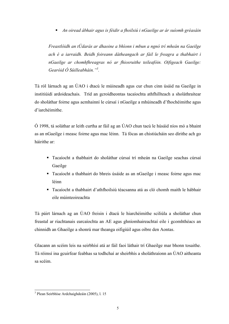An oiread ábhair agus is féidir a fhoilsiú i nGaeilge ar ár suíomh gréasáin

Freastlóidh an tÚdarás ar dhaoine a bhíonn i mbun a ngnó trí mheán na Gaeilge ach é a iarraidh. Beidh foireann dátheangach ar fáil le freagra a thabhairt i nGaeilge ar chomhfhreagras nó ar fhiosruithe teileafóin. Oifigeach Gaeilge: Gearóid Ó Súilleabháin."<sup>3</sup>.

Tá ról lárnach ag an ÚAO i dtacú le múineadh agus cur chun cinn úsáid na Gaeilge in institiúidí ardoideachais. Tríd an gcroídheontas tacaíochta athfhillteach a sholáthraítear do sholáthar foirne agus acmhainní le cúrsaí i nGaeilge a mhúineadh d'fhochéimithe agus d'iarchéimithe.

Ó 1998, tá soláthar ar leith curtha ar fáil ag an ÚAO chun tacú le húsáid níos mó a bhaint as an nGaeilge i measc foirne agus mac léinn. Tá fócas an chistiúcháin seo dírithe ach go háirithe ar:

- Tacaíocht a thabhairt do sholáthar cúrsaí trí mheán na Gaeilge seachas cúrsaí Gaeilge
- Tacaíocht a thabhairt do bhreis úsáide as an nGaeilge i measc foirne agus mac léinn
- Tacaíocht a thabhairt d'athfhoilsiú téacsanna atá as cló chomh maith le hábhair eile múinteoireachta

Tá páirt lárnach ag an ÚAO freisin i dtacú le hiarchéimithe sciliúla a sholáthar chun freastal ar riachtanais earcaíochta an AE agus ghníomhaireachtaí eile i gcomhthéacs an chinnidh an Ghaeilge a shonrú mar theanga oifigiúil agus oibre den Aontas.

Glacann an scéim leis na seirbhísí atá ar fáil faoi láthair trí Ghaeilge mar bhonn tosaithe. Tá réimsí ina gcuirfear feabhas sa todhchaí ar sheirbhís a sholáthraíonn an ÚAO aitheanta sa scéim.

 3 Plean Seirbhíse Ardchaighdeáin (2005), l. 15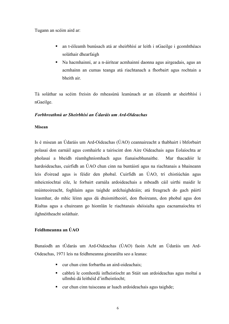Tugann an scéim aird ar:

- an t-éileamh bunúsach atá ar sheirbhísí ar leith i nGaeilge i gcomhthéacs soláthair dhearfaigh
- Na hacmhainní, ar a n-áirítear acmhainní daonna agus airgeadais, agus an acmhainn an cumas teanga atá riachtanach a fhorbairt agus rochtain a bheith air.

Tá soláthar sa scéim freisin do mheasúnú leanúnach ar an éileamh ar sheirbhísí i nGaeilge.

#### Forbhreathnú ar Sheirbhísí an Údaráis um Ard-Oideachas

#### Misean

Is é misean an Údaráis um Ard-Oideachas (ÚAO) ceannaireacht a thabhairt i bhforbairt polasaí don earnáil agus comhairle a tairiscint don Aire Oideachais agus Eolaíochta ar pholasaí a bheidh réamhghníomhach agus fianaisebhunaithe. Mar thacadóir le hardoideachas, cuirfidh an ÚAO chun cinn na buntáistí agus na riachtanais a bhaineann leis d'oiread agus is féidir den phobal. Cuirfidh an ÚAO, trí chistiúchán agus mheicníochtaí eile, le forbairt earnála ardoideachais a mbeadh cáil uirthi maidir le múinteoireacht, foghlaim agus taighde ardchaighdeáin; atá freagrach do gach páirtí leasmhar, do mhic léinn agus dá dtuismitheoirí, don fhoireann, don phobal agus don Rialtas agus a chuireann go hiomlán le riachtanais shóisialta agus eacnamaíochta trí ilghnéitheacht soláthair.

#### Feidhmeanna an ÚAO

Bunaíodh an tÚdarás um Ard-Oideachas (ÚAO) faoin Acht an Údaráis um Ard-Oideachas, 1971 leis na feidhmeanna ginearálta seo a leanas:

- cur chun cinn forbartha an aird-oideachais;
- cabhrú le comhordú infheistíocht an Stáit san ardoideachas agus moltaí a ullmhú dá leithéid d'infheistíocht;
- cur chun cinn tuisceana ar luach ardoideachais agus taighde;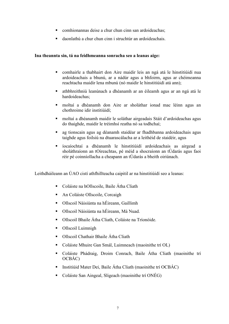- comhionannas deise a chur chun cinn san ardoideachas:
- daonlathú a chur chun cinn i struchtúr an ardoideachais.

#### Ina theannta sin, tá na feidhmeanna sonracha seo a leanas aige:

- comhairle a thabhairt don Aire maidir leis an ngá atá le hinstitiúidí nua ardoideachais a bhunú, ar a nádúr agus a bhfoirm, agus ar chéimeanna reachtacha maidir lena mbunú (nó maidir le hinstitiúidí atá ann);
- athbhreithniú leanúnach a dhéanamh ar an éileamh agus ar an ngá atá le hardoideachas;
- moltaí a dhéanamh don Aire ar sholáthar ionad mac léinn agus an chothroime idir institiúidí;
- moltaí a dhéanamh maidir le soláthar airgeadais Stáit d'ardoideachas agus do thaighde, maidir le tréimhsí reatha nó sa todhchaí;
- ag tionscain agus ag déanamh staidéar ar fhadhbanna ardoideachais agus taighde agus foilsiú na dtuarascálacha ar a leithéid de staidéir, agus
- íocaíochtaí a dhéanamh le hinstitiúidí ardoideachais as airgead a sholáthraíonn an tOireachtas, pé méid a shocraíonn an tÚdarás agus faoi réir pé coinníollacha a cheapann an tÚdarás a bheith oiriúnach.

Leithdháileann an ÚAO cistí athfhillteacha caipitil ar na hinstitiúidí seo a leanas:

- Coláiste na hOllscoile, Baile Átha Cliath
- An Coláiste Ollscoile, Corcaigh
- Ollscoil Náisiúnta na hÉireann, Gaillimh
- Ollscoil Náisiúnta na hÉireann, Má Nuad.
- Ollscoil Bhaile Átha Cliath, Coláiste na Tríonóide.
- Ollscoil Luimnigh
- **•** Ollscoil Chathair Bhaile Átha Cliath
- Coláiste Mhuire Gan Smál, Luimneach (maoinithe trí OL)
- Coláiste Phádraig, Droim Conrach, Baile Átha Cliath (maoinithe trí OCBÁC)
- **Institiúid Mater Dei, Baile Átha Cliath (maoinithe trí OCBÁC)**
- Coláiste San Aingeal, Sligeach (maoinithe trí ONÉG)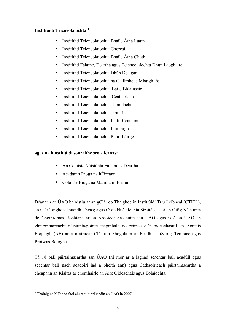### Institiúidí Teicneolaíochta <sup>4</sup>

- Institiúid Teicneolaíochta Bhaile Átha Luain
- Institiúid Teicneolaíochta Chorcaí
- Institiúid Teicneolaíochta Bhaile Átha Cliath
- Institiúid Ealaíne, Deartha agus Teicneolaíochta Dhún Laoghaire
- Institiúid Teicneolaíochta Dhún Dealgan
- Institiúid Teicneolaíochta na Gaillmhe is Mhaigh Eo
- Institiúid Teicneolaíochta, Baile Bhlainséir
- Institiúid Teicneolaíochta, Ceatharlach
- Institiúid Teicneolaíochta, Tamhlacht
- Institiúid Teicneolaíochta, Trá Lí
- Institiúid Teicneolaíochta Leitir Ceanainn
- Institiúid Teicneolaíochta Luimnigh
- **Institiúid Teicneolaíochta Phort Láirge**

#### agus na hinstitiúidí sonraithe seo a leanas:

- An Coláiste Náisiúnta Ealaíne is Deartha
- Acadamh Ríoga na hÉireann
- Coláiste Ríoga na Máinlia in Éirinn

Déanann an ÚAO bainistiú ar an gClár do Thaighde in Institiúidí Tríú Leibhéal (CTITL), an Clár Taighde Thuaidh-Theas; agus Ciste Nuálaíochta Straitéisí. Tá an Oifig Náisiúnta do Chothromas Rochtana ar an Ardoideachas suite san ÚAO agus is é an ÚAO an ghníomhaireacht náisiúnta/pointe teagmhála do réimse clár oideachasúil an Aontais Eorpaigh (AE) ar a n-áirítear Clár um Fhoghlaim ar Feadh an tSaoil; Tempus; agus Próiseas Bologna.

Tá 18 ball páirtaimseartha san ÚAO (ní mór ar a laghad seachtar ball acadúil agus seachtar ball nach acadóirí iad a bheith ann) agus Cathaoirleach páirtaimseartha a cheapann an Rialtas ar chomhairle an Aire Oideachais agus Eolaíochta.

 4 Tháinig na hITanna faoi chúram oibriúcháin an ÚAO in 2007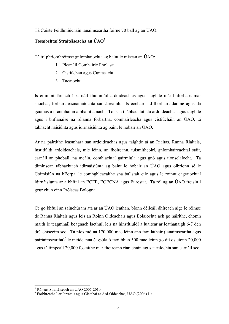#### Tá Coiste Feidhmiúcháin lánaimseartha foirne 70 ball ag an ÚAO.

### Tosaíochtaí Straitéiseacha an ÚAO<sup>5</sup>

Tá trí phríomhréimse gníomhaíochta ag baint le misean an ÚAO:

- 1 Pleanáil Comhairle Pholasaí
- 2 Cistiúchán agus Cuntasacht
- 3 Tacaíocht

Is eilimint lárnach í earnáil fhuinniúil ardoideachais agus taighde inár bhforbairt mar shochaí, forbairt eacnamaíochta san áireamh. Is eochair í d'fhorbairt daoine agus dá gcumas a n-acmhainn a bhaint amach. Toisc a thábhachtaí atá ardoideachas agus taighde agus i bhfianaise na rólanna forbartha, comhairleacha agus cistiúcháin an ÚAO, tá tábhacht náisiúnta agus idirnáisiúnta ag baint le hobair an ÚAO.

Ar na páirtithe leasmhara san ardoideachas agus taighde tá an Rialtas, Ranna Rialtais, institiúidí ardoideachais, mic léinn, an fhoireann, tuismitheoirí, gníomhaireachtaí stáit, earnáil an phobail, na meáin, comhlachtaí gairmiúla agus gnó agus tionsclaíocht. Tá diminsean tábhachtach idirnáisiúnta ag baint le hobair an ÚAO agus oibríonn sé le Coimisiún na hEorpa, le comhghleacaithe sna ballstáit eile agus le roinnt eagraíochtaí idirnáisiúnta ar a bhfuil an ECFE, EOECNA agus Eurostat. Tá ról ag an ÚAO freisin i gcur chun cinn Próiseas Bologna.

Cé go bhfuil an sainchúram atá ar an ÚAO leathan, bíonn déileáil dhíreach aige le réimse de Ranna Rialtais agus leis an Roinn Oideachais agus Eolaíochta ach go háirithe, chomh maith le teagmháil beagnach laethúil leis na hinstitiúidí a luaitear ar leathanaigh 6-7 den dréachtscéim seo. Tá níos mó ná 170,000 mac léinn ann faoi láthair (lánaimseartha agus páirtaimseartha)<sup>6</sup> le méideanna éagsúla ó faoi bhun 500 mac léinn go dtí os cionn 20,000 agus tá timpeall 20,000 fostaithe mar fhoireann riaracháin agus tacaíochta san earnáil seo.

 5 Ráiteas Straitéiseach an ÚAO 2007-2010

<sup>6</sup> Forbhreathnú ar Iarratais agus Glacthaí ar Ard-Oideachas, ÚAO (2006) l. 4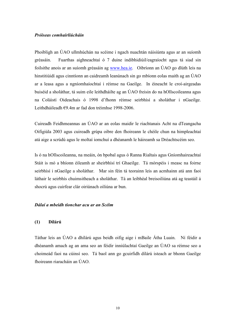#### Próiseas comhairliúcháin

Phoibligh an ÚAO ullmhúchán na scéime i ngach nuachtán náisiúnta agus ar an suíomh gréasáin. Fuarthas aighneachtaí ó 7 duine indibhidiúil/eagraíocht agus tá siad sin foilsithe anois ar an suíomh gréasáin ag www.hea.ie. Oibríonn an ÚAO go dlúth leis na hinstitiúidí agus cinntíonn an caidreamh leanúnach sin go mbíonn eolas maith ag an ÚAO ar a leasa agus a ngníomhaíochtaí i réimse na Gaeilge. In éineacht le croí-airgeadas buiséid a sholáthar, tá suim eile leithdháilte ag an ÚAO freisin do na hOllscoileanna agus na Coláistí Oideachais ó 1998 d'fhonn réimse seirbhísí a sholáthar i nGaeilge. Leithdháileadh €9.4m ar fad don tréimhse 1998-2006.

Cuireadh Feidhmeannas an ÚAO ar an eolas maidir le riachtanais Acht na dTeangacha Oifigiúla 2003 agus cuireadh grúpa oibre den fhoireann le chéile chun na himpleachtaí atá aige a scrúdú agus le moltaí iomchuí a dhéanamh le háireamh sa Dréachtscéim seo.

Is ó na hOllscoileanna, na meáin, ón bpobal agus ó Ranna Rialtais agus Gníomhaireachtaí Stáit is mó a bhíonn éileamh ar sheirbhísí trí Ghaeilge. Tá mórspéis i measc na foirne seirbhísí i nGaeilge a sholáthar. Mar sin féin tá teorainn leis an acmhainn atá ann faoi láthair le seirbhís chuimsitheach a sholáthar. Tá an leibhéal breisoiliúna atá ag teastáil á shocrú agus cuirfear clár oiriúnach oiliúna ar bun.

#### Dálaí a mbeidh tionchar acu ar an Scéim

#### (1) Dílárú

Táthar leis an ÚAO a dhílárú agus beidh oifig aige i mBaile Átha Luain. Ní féidir a dhéanamh amach ag an ama seo an féidir inniúlachtaí Gaeilge an ÚAO sa réimse seo a choimeád faoi na cúinsí seo. Tá baol ann go gcuirfidh dílárú isteach ar bhonn Gaeilge fhoireann riaracháin an ÚAO.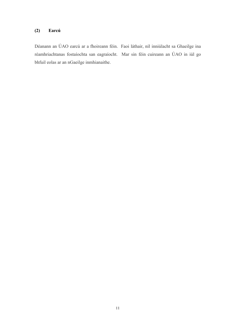#### (2) Earcú

Déanann an ÚAO earcú ar a fhoireann féin. Faoi láthair, níl inniúlacht sa Ghaeilge ina réamhriachtanas fostaíochta san eagraíocht. Mar sin féin cuireann an ÚAO in iúl go bhfuil eolas ar an nGaeilge inmhianaithe.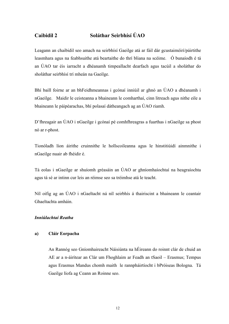## Caibidil 2 Soláthar Seirbhísí ÚAO

Leagann an chaibidil seo amach na seirbhísí Gaeilge atá ar fáil dár gcustaiméirí/páirtithe leasmhara agus na feabhsuithe atá beartaithe do thrí bliana na scéime. Ó bunaíodh é tá an ÚAO tar éis iarracht a dhéanamh timpeallacht dearfach agus tacúil a sholáthar do sholáthar seirbhísí trí mheán na Gaeilge.

Bhí baill foirne ar an bhFeidhmeannas i gcónaí inniúil ar ghnó an ÚAO a dhéanamh i nGaeilge. Maidir le ceisteanna a bhaineann le comharthaí, cinn litreach agus nithe eile a bhaineann le páipéarachas, bhí polasaí dátheangach ag an ÚAO riamh.

D'fhreagair an ÚAO i nGaeilge i gcónaí pé comhfhreagras a fuarthas i nGaeilge sa phost nó ar r-phost.

Tionóladh líon áirithe cruinnithe le hollscoileanna agus le hinstitiúidí ainmnithe i nGaeilge nuair ab fhéidir é.

Tá eolas i nGaeilge ar shuíomh gréasáin an ÚAO ar ghníomhaíochtaí na heagraíochta agus tá sé ar intinn cur leis an réimse seo sa tréimhse atá le teacht.

Níl oifig ag an ÚAO i nGaeltacht ná níl seirbhís á thairiscint a bhaineann le ceantair Ghaeltachta amháin.

#### Inniúlachtaí Reatha

#### a) Cláir Eorpacha

An Rannóg seo Gníomhaireacht Náisiúnta na hÉireann do roinnt clár de chuid an AE ar a n-áirítear an Clár um Fhoghlaim ar Feadh an tSaoil – Erasmus; Tempus agus Erasmus Mandus chomh maith le rannpháirtíocht i bPróiseas Bologna. Tá Gaeilge líofa ag Ceann an Roinne seo.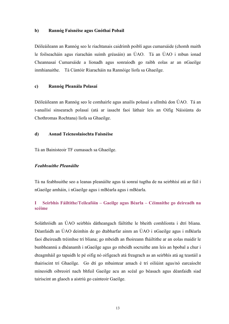#### b) Rannóg Faisnéise agus Gnóthaí Pobail

Déileáileann an Rannóg seo le riachtanais caidrimh poiblí agus cumarsáide (chomh maith le foilseacháin agus riarachán suímh gréasáin) an ÚAO. Tá an ÚAO i mbun ionad Cheannasaí Cumarsáide a líonadh agus sonraíodh go raibh eolas ar an nGaeilge inmhianaithe. Tá Cúntóir Riaracháin na Rannóige líofa sa Ghaeilge.

#### c) Rannóg Pleanála Polasaí

Déileáileann an Rannóg seo le comhairle agus anailís polasaí a ullmhú don ÚAO. Tá an t-anailísí sinsearach polasaí (atá ar iasacht faoi láthair leis an Oifig Náisiúnta do Chothromas Rochtana) líofa sa Ghaeilge.

#### d) Aonad Teicneolaíochta Faisnéise

Tá an Bainisteoir TF cumasach sa Ghaeilge.

#### Feabhsuithe Pleanáilte

Tá na feabhsuithe seo a leanas pleanáilte agus tá sonraí tugtha de na seirbhísí atá ar fáil i nGaeilge amháin, i nGaeilge agus i mBéarla agus i mBéarla.

#### I Seirbhís Fáiltithe/Teileafóin – Gaeilge agus Béarla – Céimnithe go deireadh na scéime

Soláthróidh an ÚAO seirbhís dátheangach fáiltithe le bheith comhlíonta i dtrí bliana. Déanfaidh an ÚAO deimhin de go dtabharfar ainm an ÙAO i nGaeilge agus i mBéarla faoi dheireadh tréimhse trí bliana; go mbeidh an fhoireann fháiltithe ar an eolas maidir le bunbheannú a dhéanamh i nGaeilge agus go mbeidh socruithe ann leis an bpobal a chur i dteagmháil go tapaidh le pé oifig nó oifigeach atá freagrach as an seirbhís atá ag teastáil a thairiscint trí Ghaeilge. Go dtí go mbaintear amach é trí oiliúint agus/nó earcaíocht míneoidh oibreoirí nach bhfuil Gaeilge acu an scéal go béasach agus déanfaidh siad tairiscint an glaoch a aistriú go cainteoir Gaeilge.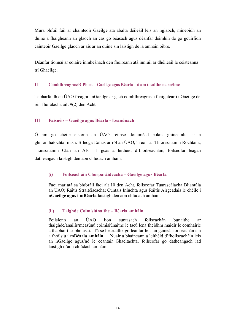Mura bhfuil fáil ar chainteoir Gaeilge atá ábalta déileáil leis an nglaoch, míneoidh an duine a fhaigheann an glaoch an cás go béasach agus déanfar deimhin de go gcuirfidh cainteoir Gaeilge glaoch ar ais ar an duine sin laistigh de lá amháin oibre.

Déanfar tiomsú ar eolaire inmheánach den fhoireann atá inniúil ar dhéileáil le ceisteanna trí Ghaeilge.

#### II Comhfhreagras/R-Phost – Gaeilge agus Béarla – ó am tosaithe na scéime

Tabharfaidh an ÚAO freagra i nGaeilge ar gach comhfhreagras a fhaightear i nGaeilge de réir fhorálacha ailt 9(2) den Acht.

#### III Faisnéis – Gaeilge agus Béarla - Leanúnach

Ó am go chéile eisíonn an ÚAO réimse doiciméad eolais ghinearálta ar a ghníomhaíochtaí m.sh. Bileoga Eolais ar ról an ÚAO, Treoir ar Thionscnaimh Rochtana; Tionscnaimh Cláir an AE. I gcás a leithéid d'fhoilseacháin, foilseofar leagan dátheangach laistigh den aon chlúdach amháin.

#### (i) Foilseacháin Chorparáideacha – Gaeilge agus Béarla

Faoi mar atá sa bhforáil faoi alt 10 den Acht, foilseofar Tuarascálacha Bliantúla an ÚAO; Ráitis Straitéiseacha; Cuntais Iniúchta agus Ráitis Airgeadais le chéile i nGaeilge agus i mBéarla laistigh den aon chlúdach amháin.

#### (ii) Taighde Coimisiúnaithe – Béarla amháin

Foilsíonn an ÚAO líon suntasach foilseachán bunaithe ar thaighde/anailís/measúnú coimisiúnaithe le tacú lena fheidhm maidir le comhairle a thabhairt ar pholasaí. Tá sé beartaithe go leanfar leis an gcineál foilseachán sin a fhoilsiú i mBéarla amháin. Nuair a bhaineann a leithéid d'fhoilseacháin leis an nGaeilge agus/nó le ceantair Ghaeltachta, foilseofar go dátheangach iad laistigh d'aon chlúdach amháin.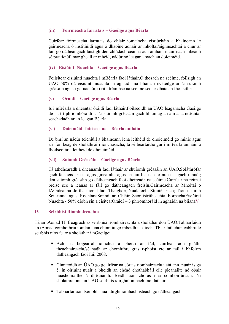#### (iii) Foirmeacha Iarratais – Gaeilge agus Béarla

Cuirfear foirmeacha iarratais do chláir iomaíocha cistiúcháin a bhaineann le gairmeacha ó institiúidí agus ó dhaoine aonair ar mholtaí/aighneachtaí a chur ar fáil go dátheangach laistigh den chlúdach céanna ach amháin nuair nach mbeadh sé praiticiúil mar gheall ar mhéid, nádúr nó leagan amach an doiciméid.

#### (iv) Eisiúintí Nuachta – Gaeilge agus Béarla

Foilsítear eisiúintí nuachta i mBéarla faoi láthair.Ó thosach na scéime, foilsigh an ÚAO 50% dá eisiúintí nuachta in aghaidh na bliana i nGaeilge ar ár suíomh gréasáin agus i gcruachóip i rith tréimhse na scéime seo ar dháta an fhoilsithe.

#### (v) Óráidí – Gaeilge agus Béarla

Is i mBéarla a dhéantar óráidí faoi láthair.Foilseoidh an ÚAO leaganacha Gaeilge de na trí phríomhóráidí ar ár suíomh gréasáin gach bliain ag an am ar a ndéantar seachadadh ar an leagan Béarla.

#### (vi) Doiciméid Tairisceana – Béarla amháin

De bhrí an nádúr teicniúil a bhaineann lena leithéid de dhoiciméid go minic agus an líon beag de sholáthróirí ionchasacha, tá sé beartaithe gur i mBéarla amháin a fhoilseofar a leithéid de dhoiciméid.

#### (vii) Suíomh Gréasáin – Gaeilge agus Béarla

Tá athdhearadh á dhéanamh faoi láthair ar shuíomh gréasáin an ÚAO.Soláthrófar gach faisnéis seasta agus ginearálta agus na huirlisí nascleanúna i ngach rannóg den suíomh gréasáin go dátheangach faoi dheireadh na scéime.Cuirfear na réimsí breise seo a leanas ar fáil go dátheangach freisin.Gairmeacha ar Mholtaí ó IAOideanna do thacaíocht faoi Thaighde, Nuálaíocht Straitéiseach; Tionscnaimh Scileanna agus RochtanaSonraí ar Chláir Saoraistritheachta EorpachaEisiúintí Nuachta - 50% díobh sin a eisítearÓráidí – 3 phríomhóráid in aghaidh na blianaV

#### IV Seirbhísí Ríomhaireachta

Tá an tAonad TF freagrach as seirbhísí ríomhaireachta a sholáthar don ÚAO.Tabharfaidh an tAonad comhoibriú iomlán lena chinntiú go mbeidh tacaíocht TF ar fáil chun cabhrú le seirbhís níos fearr a sholáthar i nGaeilge:

- Ach na bogearraí iomchuí a bheith ar fáil, cuirfear aon gnáththeachtaireacht/séanadh ar chomhfhreagras r-phoist etc ar fáil i bhfoirm dátheangach faoi Iúil 2008.
- Cinnteoidh an ÚAO go gcuirfear na córais ríomhaireachta atá ann, nuair is gá é, in oiriúint nuair a bheidh an chéad chothabháil eile pleanáilte nó obair nuashonraithe á dhéanamh. Beidh aon chóras nua comhoiriúnach. Ní sholáthraíonn an ÚAO seirbhís idirghníomhach faoi láthair.
- Tabharfar aon tseribhís nua idirghníomhach isteach go dátheangach.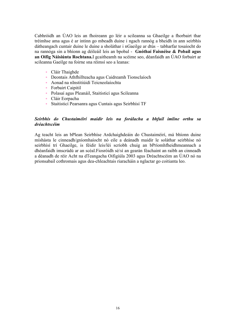Cabhróidh an ÚAO leis an fhoireann go léir a scileanna sa Ghaeilge a fhorbairt thar tréimhse ama agus é ar intinn go mbeadh duine i ngach rannóg a bheidh in ann seirbhís dátheangach cuntair duine le duine a sholáthar i nGaeilge ar dtús – tabharfar tosaíocht do na rannóga sin a bhíonn ag déileáil leis an bpobal - Gnóthaí Faisnéise & Pobail agus an Oifig Náisiúnta Rochtana.I gcaitheamh na scéime seo, déanfaidh an ÚAO forbairt ar scileanna Gaeilge na foirne sna réimsí seo a leanas:

- Cláir Thaighde
- Deontais Athfhillteacha agus Caidreamh Tionsclaíoch
- Aonad na nInstitiúidí Teicneolaíochta
- **Forbairt Caipitil**
- Polasaí agus Pleanáil, Staitisticí agus Scileanna
- Cláir Eorpacha
- Staitisticí Pearsanra agus Cuntais agus Seirbhísí TF

#### Seirbhís do Chustaiméirí maidir leis na forálacha a bhfuil imlíne orthu sa dréachtscéim

Ag teacht leis an bPlean Seirbhíse Ardchaighdeáin do Chustaiméirí, má bhíonn duine míshásta le cinneadh/gníomhaíocht nó eile a deánadh maidir le soláthar seirbhíse nó seirbhísí trí Ghaeilge, is féidir leis/léi scríobh chuig an bPríomhfheidhmeannach a dhéanfaidh imscrúdú ar an scéal.Fiosróidh sé/sí an gearán féachaint an raibh an cinneadh a déanadh de réir Acht na dTeangacha Oifigiúla 2003 agus Dréachtscéim an ÚAO nó na prionsabail cothromais agus dea-chleachtais riaracháin a nglactar go coitianta leo.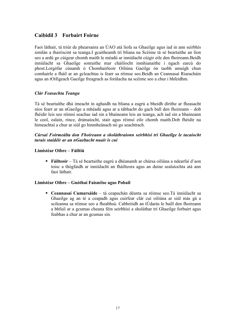## Caibidil 3 Forbairt Foirne

Faoi láthair, tá triúr de phearsanra an ÚAO atá líofa sa Ghaeilge agus iad in ann seirbhís iomlán a thairiscint sa teanga.I gcaitheamh trí bliana na Scéime tá sé beartaithe an líon seo a ardú go cúigear chomh maith le méadú ar inniúlacht cúigir eile den fhoireann.Beidh inniúlacht sa Ghaeilge sonraithe mar cháilíocht inmhianaithe i ngach earcú do phost.Lorgófar cúnamh ó Chomhairleoir Oiliúna Gaeilge ón taobh amuigh chun comhairle a fháil ar an gcleachtas is fearr sa réimse seo.Beidh an Ceannasaí Riaracháin agus an tOifigeach Gaeilge freagrach as forálacha na scéime seo a chur i bhfeidhm.

#### Clár Feasachta Teanga

Tá sé beartaithe dhá imeacht in aghaidh na bliana a eagrú a bheidh dírithe ar fheasacht níos fearr ar an nGaeilge a mhéadú agus ar a tábhacht do gach ball den fhoireann – dob fhéidir leis seo réimsí seachas iad sin a bhaineann leis an teanga, ach iad sin a bhaineann le ceol, ealaín, rince, drámaíocht, stair agus réimsí eile chomh maith.Dob fhéidir na himeachtaí a chur ar siúl go hinmheánach nó go seachtrach.

#### Cúrsaí Foirmeálta don Fhoireann a sholáthraíonn seirbhísí trí Ghaeilge le tacaíocht turais staidéir ar an nGaeltacht nuair is cuí

#### Limistéar Oibre – Fáiltiú

 Fáilteoir – Tá sé beartaithe eagrú a dhéanamh ar chúrsa oiliúna a ndearfaí d'aon toisc a thógfaidh ar inniúlacht an fháilteora agus an duine sealaíochta atá ann faoi láthair.

#### Limistéar Oibre – Gnóthaí Faisnéise agus Pobail

 Ceannasaí Cumarsáide – tá ceapachán déanta sa réimse seo.Tá inniúlacht sa Ghaeilge ag an té a ceapadh agus cuirfear clár cuí oiliúna ar siúl más gá a scileanna sa réimse seo a fheabhsú. Cabhróidh an tÚdarás le baill den fhoireann a bhfuil ar a gcumas cheana féin seirbhísí a sholáthar trí Ghaeilge forbairt agus feabhas a chur ar an gcumas sin.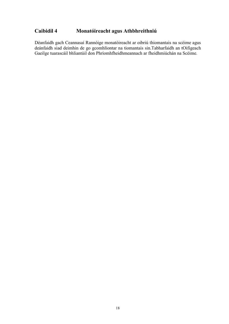## Caibidil 4 Monatóireacht agus Athbhreithniú

Déanfaidh gach Ceannasaí Rannóige monatóireacht ar oibriú thiomantais na scéime agus deánfaidh siad deimhin de go gcomhlíontar na tiomantais sin.Tabharfaidh an tOifigeach Gaeilge tuarascáil bhliantúil don Phríomhfheidhmeannach ar fheidhmiúchán na Scéime.